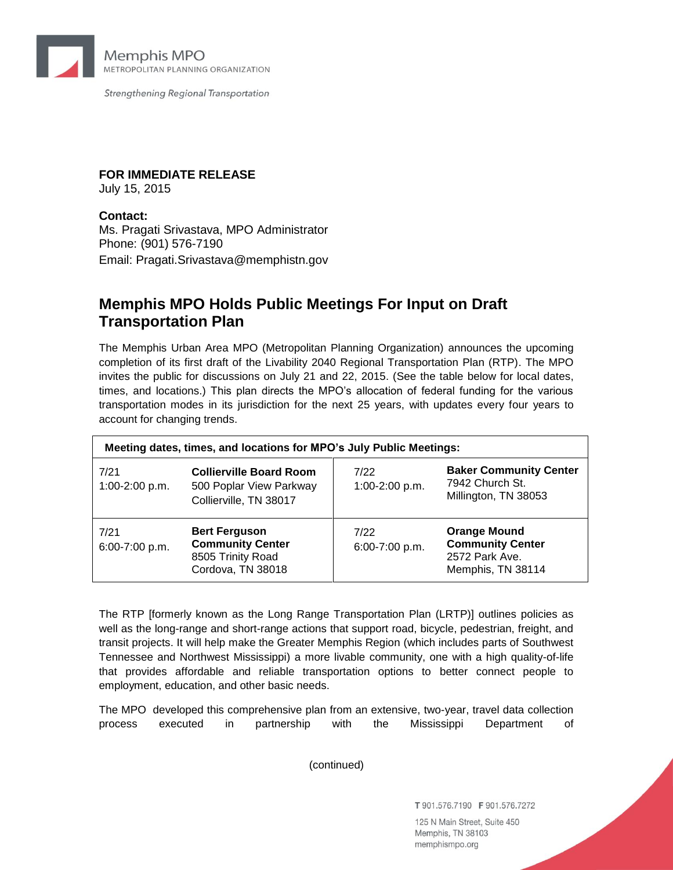

Strengthening Regional Transportation

**FOR IMMEDIATE RELEASE**

July 15, 2015

## **Contact:**

Ms. Pragati Srivastava, MPO Administrator Phone: (901) 576-7190 Email: Pragati.Srivastava@memphistn.gov

## **Memphis MPO Holds Public Meetings For Input on Draft Transportation Plan**

The Memphis Urban Area MPO (Metropolitan Planning Organization) announces the upcoming completion of its first draft of the Livability 2040 Regional Transportation Plan (RTP). The MPO invites the public for discussions on July 21 and 22, 2015. (See the table below for local dates, times, and locations.) This plan directs the MPO's allocation of federal funding for the various transportation modes in its jurisdiction for the next 25 years, with updates every four years to account for changing trends.

| Meeting dates, times, and locations for MPO's July Public Meetings: |                                                                                           |                        |                                                                                       |
|---------------------------------------------------------------------|-------------------------------------------------------------------------------------------|------------------------|---------------------------------------------------------------------------------------|
| 7/21<br>1:00-2:00 p.m.                                              | <b>Collierville Board Room</b><br>500 Poplar View Parkway<br>Collierville, TN 38017       | 7/22<br>1:00-2:00 p.m. | <b>Baker Community Center</b><br>7942 Church St.<br>Millington, TN 38053              |
| 7/21<br>6:00-7:00 p.m.                                              | <b>Bert Ferguson</b><br><b>Community Center</b><br>8505 Trinity Road<br>Cordova, TN 38018 | 7/22<br>6:00-7:00 p.m. | <b>Orange Mound</b><br><b>Community Center</b><br>2572 Park Ave.<br>Memphis, TN 38114 |

The RTP [formerly known as the Long Range Transportation Plan (LRTP)] outlines policies as well as the long-range and short-range actions that support road, bicycle, pedestrian, freight, and transit projects. It will help make the Greater Memphis Region (which includes parts of Southwest Tennessee and Northwest Mississippi) a more livable community, one with a high quality-of-life that provides affordable and reliable transportation options to better connect people to employment, education, and other basic needs.

The MPO developed this comprehensive plan from an extensive, two-year, travel data collection process executed in partnership with the Mississippi Department of

(continued)

T 901.576.7190 F 901.576.7272